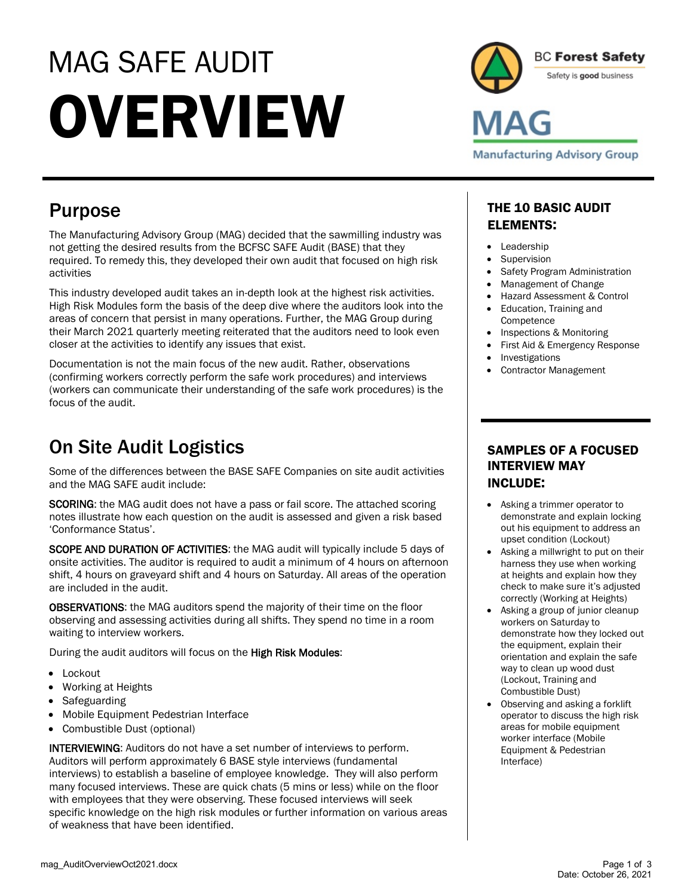# MAG SAFE AUDIT **OVERVIEW**



## Purpose

The Manufacturing Advisory Group (MAG) decided that the sawmilling industry was not getting the desired results from the BCFSC SAFE Audit (BASE) that they required. To remedy this, they developed their own audit that focused on high risk activities

This industry developed audit takes an in-depth look at the highest risk activities. High Risk Modules form the basis of the deep dive where the auditors look into the areas of concern that persist in many operations. Further, the MAG Group during their March 2021 quarterly meeting reiterated that the auditors need to look even closer at the activities to identify any issues that exist.

Documentation is not the main focus of the new audit. Rather, observations (confirming workers correctly perform the safe work procedures) and interviews (workers can communicate their understanding of the safe work procedures) is the focus of the audit.

## On Site Audit Logistics

Some of the differences between the BASE SAFE Companies on site audit activities and the MAG SAFE audit include:

SCORING: the MAG audit does not have a pass or fail score. The attached scoring notes illustrate how each question on the audit is assessed and given a risk based 'Conformance Status'.

SCOPE AND DURATION OF ACTIVITIES: the MAG audit will typically include 5 days of onsite activities. The auditor is required to audit a minimum of 4 hours on afternoon shift, 4 hours on graveyard shift and 4 hours on Saturday. All areas of the operation are included in the audit.

OBSERVATIONS: the MAG auditors spend the majority of their time on the floor observing and assessing activities during all shifts. They spend no time in a room waiting to interview workers.

During the audit auditors will focus on the High Risk Modules:

- Lockout
- Working at Heights
- Safeguarding
- Mobile Equipment Pedestrian Interface
- Combustible Dust (optional)

INTERVIEWING: Auditors do not have a set number of interviews to perform. Auditors will perform approximately 6 BASE style interviews (fundamental interviews) to establish a baseline of employee knowledge. They will also perform many focused interviews. These are quick chats (5 mins or less) while on the floor with employees that they were observing. These focused interviews will seek specific knowledge on the high risk modules or further information on various areas of weakness that have been identified.

### THE 10 BASIC AUDIT ELEMENTS:

- Leadership
- Supervision
- Safety Program Administration
- Management of Change
- Hazard Assessment & Control
- Education, Training and **Competence**
- Inspections & Monitoring
- First Aid & Emergency Response
- **Investigations**
- Contractor Management

#### SAMPLES OF A FOCUSED INTERVIEW MAY INCLUDE:

- Asking a trimmer operator to demonstrate and explain locking out his equipment to address an upset condition (Lockout)
- Asking a millwright to put on their harness they use when working at heights and explain how they check to make sure it's adjusted correctly (Working at Heights)
- Asking a group of junior cleanup workers on Saturday to demonstrate how they locked out the equipment, explain their orientation and explain the safe way to clean up wood dust (Lockout, Training and Combustible Dust)
- Observing and asking a forklift operator to discuss the high risk areas for mobile equipment worker interface (Mobile Equipment & Pedestrian Interface)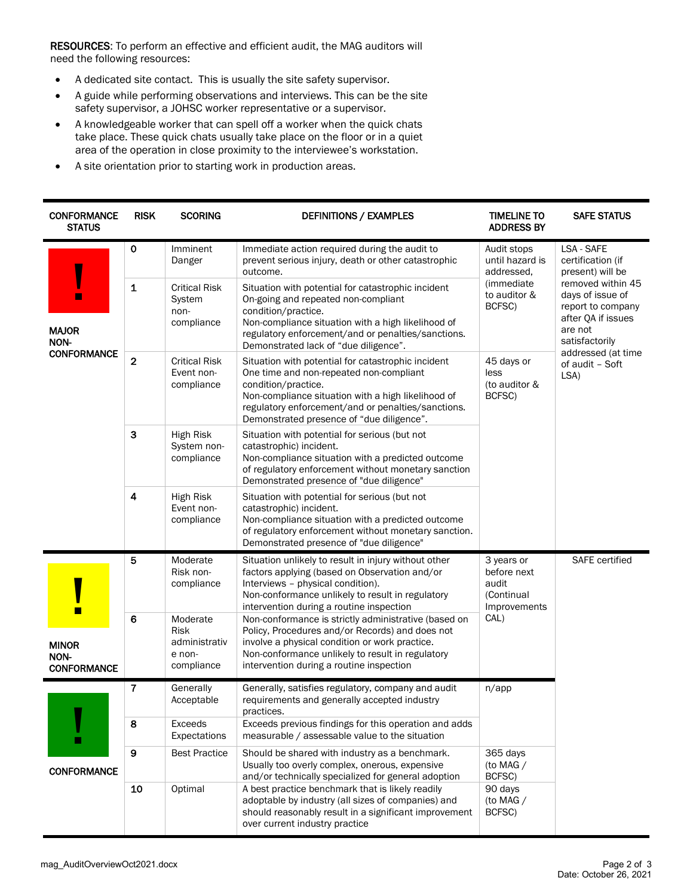RESOURCES: To perform an effective and efficient audit, the MAG auditors will need the following resources:

- A dedicated site contact. This is usually the site safety supervisor.
- A guide while performing observations and interviews. This can be the site safety supervisor, a JOHSC worker representative or a supervisor.
- A knowledgeable worker that can spell off a worker when the quick chats take place. These quick chats usually take place on the floor or in a quiet area of the operation in close proximity to the interviewee's workstation.
- A site orientation prior to starting work in production areas.

| <b>CONFORMANCE</b><br><b>STATUS</b>        | <b>RISK</b>      | <b>SCORING</b>                                                   | <b>DEFINITIONS / EXAMPLES</b>                                                                                                                                                                                                                                                 | <b>TIMELINE TO</b><br><b>ADDRESS BY</b>                                                                                               | <b>SAFE STATUS</b>                                                                                                                                                                                                    |
|--------------------------------------------|------------------|------------------------------------------------------------------|-------------------------------------------------------------------------------------------------------------------------------------------------------------------------------------------------------------------------------------------------------------------------------|---------------------------------------------------------------------------------------------------------------------------------------|-----------------------------------------------------------------------------------------------------------------------------------------------------------------------------------------------------------------------|
| <b>MAJOR</b><br>NON-<br><b>CONFORMANCE</b> | $\mathbf 0$      | Imminent<br>Danger                                               | Immediate action required during the audit to<br>prevent serious injury, death or other catastrophic<br>outcome.                                                                                                                                                              | Audit stops<br>until hazard is<br>addressed.<br>(immediate<br>to auditor &<br>BCFSC)<br>45 days or<br>less<br>(to auditor &<br>BCFSC) | LSA - SAFE<br>certification (if<br>present) will be<br>removed within 45<br>days of issue of<br>report to company<br>after QA if issues<br>are not<br>satisfactorily<br>addressed (at time<br>of audit - Soft<br>LSA) |
|                                            | 1                | <b>Critical Risk</b><br>System<br>non-<br>compliance             | Situation with potential for catastrophic incident<br>On-going and repeated non-compliant<br>condition/practice.<br>Non-compliance situation with a high likelihood of<br>regulatory enforcement/and or penalties/sanctions.<br>Demonstrated lack of "due diligence".         |                                                                                                                                       |                                                                                                                                                                                                                       |
|                                            | $\overline{2}$   | <b>Critical Risk</b><br>Event non-<br>compliance                 | Situation with potential for catastrophic incident<br>One time and non-repeated non-compliant<br>condition/practice.<br>Non-compliance situation with a high likelihood of<br>regulatory enforcement/and or penalties/sanctions.<br>Demonstrated presence of "due diligence". |                                                                                                                                       |                                                                                                                                                                                                                       |
|                                            | 3                | High Risk<br>System non-<br>compliance                           | Situation with potential for serious (but not<br>catastrophic) incident.<br>Non-compliance situation with a predicted outcome<br>of regulatory enforcement without monetary sanction<br>Demonstrated presence of "due diligence"                                              |                                                                                                                                       |                                                                                                                                                                                                                       |
|                                            | $\boldsymbol{4}$ | High Risk<br>Event non-<br>compliance                            | Situation with potential for serious (but not<br>catastrophic) incident.<br>Non-compliance situation with a predicted outcome<br>of regulatory enforcement without monetary sanction.<br>Demonstrated presence of "due diligence"                                             |                                                                                                                                       |                                                                                                                                                                                                                       |
| <b>MINOR</b><br>NON-<br><b>CONFORMANCE</b> | 5                | Moderate<br>Risk non-<br>compliance                              | Situation unlikely to result in injury without other<br>factors applying (based on Observation and/or<br>Interviews - physical condition).<br>Non-conformance unlikely to result in regulatory<br>intervention during a routine inspection                                    | 3 years or<br>before next<br>audit<br>(Continual<br>Improvements<br>CAL)                                                              | <b>SAFE</b> certified                                                                                                                                                                                                 |
|                                            | 6                | Moderate<br><b>Risk</b><br>administrativ<br>e non-<br>compliance | Non-conformance is strictly administrative (based on<br>Policy, Procedures and/or Records) and does not<br>involve a physical condition or work practice.<br>Non-conformance unlikely to result in regulatory<br>intervention during a routine inspection                     |                                                                                                                                       |                                                                                                                                                                                                                       |
| <b>CONFORMANCE</b>                         | 7                | Generally<br>Acceptable                                          | Generally, satisfies regulatory, company and audit<br>requirements and generally accepted industry<br>practices.                                                                                                                                                              | n/app                                                                                                                                 |                                                                                                                                                                                                                       |
|                                            | 8                | Exceeds<br>Expectations                                          | Exceeds previous findings for this operation and adds<br>measurable / assessable value to the situation                                                                                                                                                                       |                                                                                                                                       |                                                                                                                                                                                                                       |
|                                            | $\boldsymbol{9}$ | <b>Best Practice</b>                                             | Should be shared with industry as a benchmark.<br>Usually too overly complex, onerous, expensive<br>and/or technically specialized for general adoption                                                                                                                       | 365 days<br>(to MAG /<br>BCFSC)                                                                                                       |                                                                                                                                                                                                                       |
|                                            | 10               | Optimal                                                          | A best practice benchmark that is likely readily<br>adoptable by industry (all sizes of companies) and<br>should reasonably result in a significant improvement<br>over current industry practice                                                                             | 90 days<br>(to MAG /<br>BCFSC)                                                                                                        |                                                                                                                                                                                                                       |